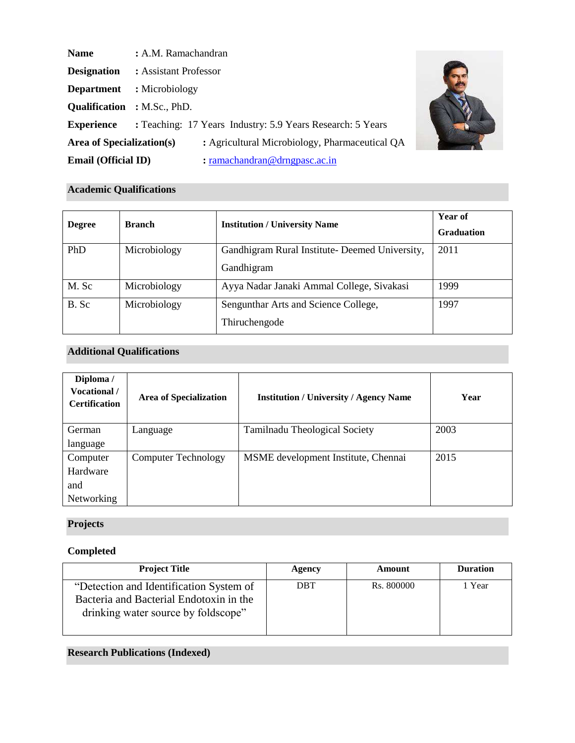| <b>Name</b>                        | : A.M. Ramachandran                                                                   |  |  |
|------------------------------------|---------------------------------------------------------------------------------------|--|--|
| <b>Designation</b>                 | : Assistant Professor                                                                 |  |  |
| <b>Department</b>                  | : Microbiology                                                                        |  |  |
| <b>Qualification</b> : M.Sc., PhD. |                                                                                       |  |  |
| <b>Experience</b>                  | : Teaching: 17 Years Industry: 5.9 Years Research: 5 Years                            |  |  |
| Area of Specialization(s)          | : Agricultural Microbiology, Pharmaceutical QA                                        |  |  |
| <b>Email (Official ID)</b>         | $: \underline{\text{ramachandran}\,\textcircled{a}}\underline{\text{drngpasc.ac.in}}$ |  |  |



# **Academic Qualifications**

| <b>Degree</b> | <b>Branch</b> | <b>Institution / University Name</b>                         | Year of<br><b>Graduation</b> |
|---------------|---------------|--------------------------------------------------------------|------------------------------|
| PhD           | Microbiology  | Gandhigram Rural Institute- Deemed University,<br>Gandhigram | 2011                         |
| M. Sc         | Microbiology  | Ayya Nadar Janaki Ammal College, Sivakasi                    | 1999                         |
| B. Sc         | Microbiology  | Sengunthar Arts and Science College,<br>Thiruchengode        | 1997                         |

# **Additional Qualifications**

| Diploma /<br><b>Vocational</b> /<br><b>Certification</b> | <b>Area of Specialization</b> | <b>Institution / University / Agency Name</b> | Year |
|----------------------------------------------------------|-------------------------------|-----------------------------------------------|------|
| German                                                   | Language                      | <b>Tamilnadu Theological Society</b>          | 2003 |
| language                                                 |                               |                                               |      |
| Computer                                                 | <b>Computer Technology</b>    | MSME development Institute, Chennai           | 2015 |
| Hardware                                                 |                               |                                               |      |
| and                                                      |                               |                                               |      |
| <b>Networking</b>                                        |                               |                                               |      |

# **Projects**

# **Completed**

| <b>Project Title</b>                    | Agency     | Amount     | <b>Duration</b> |
|-----------------------------------------|------------|------------|-----------------|
| "Detection and Identification System of | <b>DBT</b> | Rs. 800000 | l Year          |
| Bacteria and Bacterial Endotoxin in the |            |            |                 |
| drinking water source by foldscope"     |            |            |                 |
|                                         |            |            |                 |

# **Research Publications (Indexed)**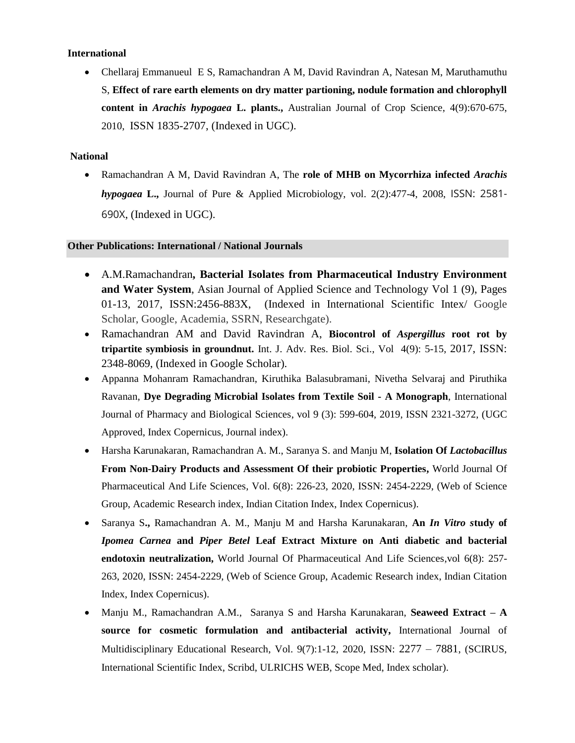# **International**

• Chellaraj Emmanueul E S, Ramachandran A M, David Ravindran A, Natesan M, Maruthamuthu S, **Effect of rare earth elements on dry matter partioning, nodule formation and chlorophyll content in** *Arachis hypogaea* **L. plants.,** Australian Journal of Crop Science, 4(9):670-675, 2010, ISSN 1835-2707, (Indexed in UGC).

# **National**

• Ramachandran A M, David Ravindran A, The **role of MHB on Mycorrhiza infected** *Arachis hypogaea* **L.,** Journal of Pure & Applied Microbiology, vol. 2(2):477-4, 2008, ISSN: 2581- 690X, (Indexed in UGC).

### **Other Publications: International / National Journals**

- A.M.Ramachandran**, Bacterial Isolates from Pharmaceutical Industry Environment and Water System**, Asian Journal of Applied Science and Technology Vol 1 (9), Pages 01-13, 2017, ISSN:2456-883X, (Indexed in International Scientific Intex/ Google Scholar, Google, Academia, SSRN, Researchgate).
- Ramachandran AM and David Ravindran A, **Biocontrol of** *Aspergillus* **root rot by tripartite symbiosis in groundnut.** Int. J. Adv. Res. Biol. Sci., Vol 4(9): 5-15, 2017, ISSN: 2348-8069, (Indexed in Google Scholar).
- Appanna Mohanram Ramachandran, Kiruthika Balasubramani, Nivetha Selvaraj and Piruthika Ravanan, **Dye Degrading Microbial Isolates from Textile Soil - A Monograph**, International Journal of Pharmacy and Biological Sciences, vol 9 (3): 599-604, 2019, ISSN 2321-3272, (UGC Approved, Index Copernicus, Journal index).
- Harsha Karunakaran, Ramachandran A. M., Saranya S. and Manju M, **Isolation Of** *Lactobacillus*  **From Non-Dairy Products and Assessment Of their probiotic Properties,** World Journal Of Pharmaceutical And Life Sciences, Vol. 6(8): 226-23, 2020, ISSN: 2454-2229, (Web of Science Group, Academic Research index, Indian Citation Index, Index Copernicus).
- Saranya S**.,** Ramachandran A. M., Manju M and Harsha Karunakaran, **An** *In Vitro s***tudy of**  *Ipomea Carnea* **and** *Piper Betel* **Leaf Extract Mixture on Anti diabetic and bacterial endotoxin neutralization,** World Journal Of Pharmaceutical And Life Sciences,vol 6(8): 257- 263, 2020, ISSN: 2454-2229, (Web of Science Group, Academic Research index, Indian Citation Index, Index Copernicus).
- Manju M., Ramachandran A.M., Saranya S and Harsha Karunakaran, **Seaweed Extract – A source for cosmetic formulation and antibacterial activity,** International Journal of Multidisciplinary Educational Research, Vol. 9(7):1-12, 2020, ISSN: 2277 – 7881, (SCIRUS, International Scientific Index, Scribd, ULRICHS WEB, Scope Med, Index scholar).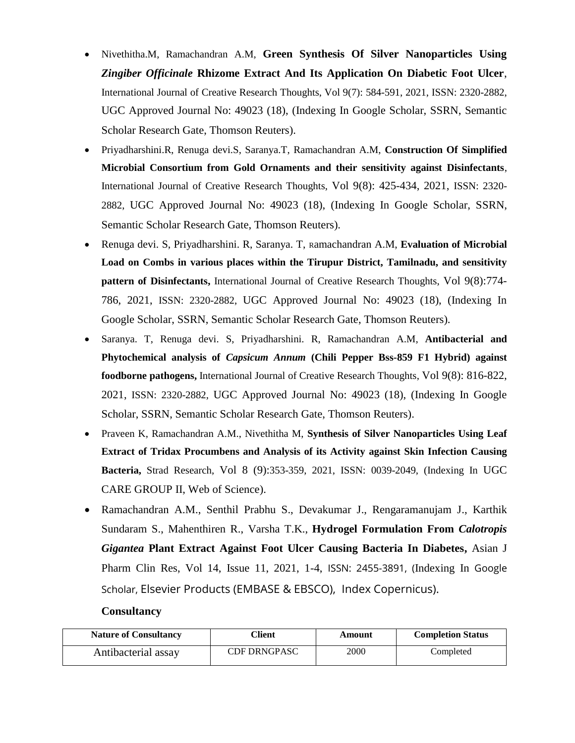- Nivethitha.M, Ramachandran A.M, **Green Synthesis Of Silver Nanoparticles Using**  *Zingiber Officinale* **Rhizome Extract And Its Application On Diabetic Foot Ulcer**, International Journal of Creative Research Thoughts, Vol 9(7): 584-591, 2021, ISSN: 2320-2882, UGC Approved Journal No: 49023 (18), (Indexing In Google Scholar, SSRN, Semantic Scholar Research Gate, Thomson Reuters).
- Priyadharshini.R, Renuga devi.S, Saranya.T, Ramachandran A.M, **Construction Of Simplified Microbial Consortium from Gold Ornaments and their sensitivity against Disinfectants**, International Journal of Creative Research Thoughts, Vol 9(8): 425-434, 2021, ISSN: 2320- 2882, UGC Approved Journal No: 49023 (18), (Indexing In Google Scholar, SSRN, Semantic Scholar Research Gate, Thomson Reuters).
- Renuga devi. S, Priyadharshini. R, Saranya. T, Ramachandran A.M, **Evaluation of Microbial Load on Combs in various places within the Tirupur District, Tamilnadu, and sensitivity pattern of Disinfectants,** International Journal of Creative Research Thoughts, Vol 9(8):774- 786, 2021, ISSN: 2320-2882, UGC Approved Journal No: 49023 (18), (Indexing In Google Scholar, SSRN, Semantic Scholar Research Gate, Thomson Reuters).
- Saranya. T, Renuga devi. S, Priyadharshini. R, Ramachandran A.M, **Antibacterial and Phytochemical analysis of** *Capsicum Annum* **(Chili Pepper Bss-859 F1 Hybrid) against foodborne pathogens,** International Journal of Creative Research Thoughts, Vol 9(8): 816-822, 2021, ISSN: 2320-2882, UGC Approved Journal No: 49023 (18), (Indexing In Google Scholar, SSRN, Semantic Scholar Research Gate, Thomson Reuters).
- Praveen K, Ramachandran A.M., Nivethitha M, **Synthesis of Silver Nanoparticles Using Leaf Extract of Tridax Procumbens and Analysis of its Activity against Skin Infection Causing Bacteria,** Strad Research, Vol 8 (9):353-359, 2021, ISSN: 0039-2049, (Indexing In UGC CARE GROUP II, Web of Science).
- Ramachandran A.M., Senthil Prabhu S., Devakumar J., Rengaramanujam J., Karthik Sundaram S., Mahenthiren R., Varsha T.K., **Hydrogel Formulation From** *Calotropis Gigantea* **Plant Extract Against Foot Ulcer Causing Bacteria In Diabetes,** Asian J Pharm Clin Res, Vol 14, Issue 11, 2021, 1-4, ISSN: 2455-3891, (Indexing In Google Scholar, Elsevier Products (EMBASE & EBSCO), Index Copernicus).

# **Consultancy**

| <b>Nature of Consultancy</b> | <b>Client</b>       | Amount | <b>Completion Status</b> |
|------------------------------|---------------------|--------|--------------------------|
| Antibacterial assay          | <b>CDF DRNGPASC</b> | 2000   | Completed                |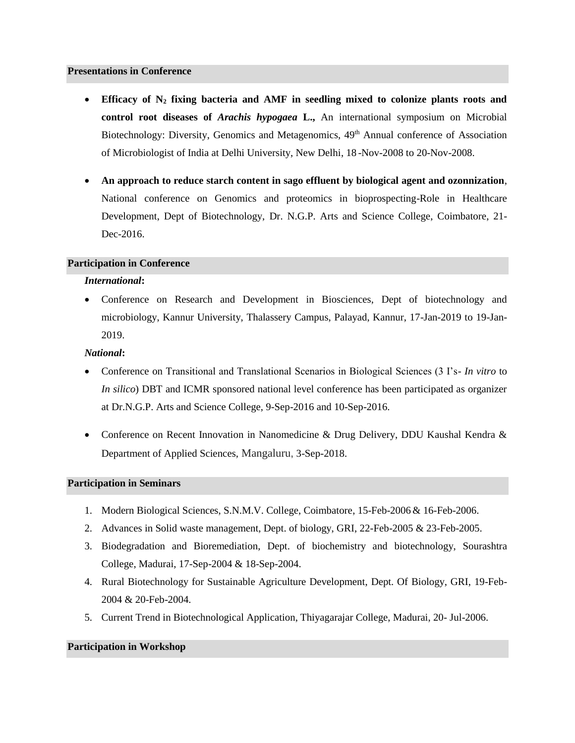#### **Presentations in Conference**

- **Efficacy of N<sup>2</sup> fixing bacteria and AMF in seedling mixed to colonize plants roots and control root diseases of** *Arachis hypogaea* **L.,** An international symposium on Microbial Biotechnology: Diversity, Genomics and Metagenomics, 49<sup>th</sup> Annual conference of Association of Microbiologist of India at Delhi University, New Delhi, 18 -Nov-2008 to 20-Nov-2008.
- **An approach to reduce starch content in sago effluent by biological agent and ozonnization**, National conference on Genomics and proteomics in bioprospecting-Role in Healthcare Development, Dept of Biotechnology, Dr. N.G.P. Arts and Science College, Coimbatore, 21- Dec-2016.

# **Participation in Conference**

### *International***:**

• Conference on Research and Development in Biosciences, Dept of biotechnology and microbiology, Kannur University, Thalassery Campus, Palayad, Kannur, 17-Jan-2019 to 19-Jan-2019.

#### *National***:**

- Conference on Transitional and Translational Scenarios in Biological Sciences (3 I's- *In vitro* to *In silico*) DBT and ICMR sponsored national level conference has been participated as organizer at Dr.N.G.P. Arts and Science College, 9-Sep-2016 and 10-Sep-2016.
- Conference on Recent Innovation in Nanomedicine & Drug Delivery, DDU Kaushal Kendra & Department of Applied Sciences, Mangaluru, 3-Sep-2018.

#### **Participation in Seminars**

- 1. Modern Biological Sciences, S.N.M.V. College, Coimbatore, 15-Feb-2006 & 16-Feb-2006.
- 2. Advances in Solid waste management, Dept. of biology, GRI, 22-Feb-2005 & 23-Feb-2005.
- 3. Biodegradation and Bioremediation, Dept. of biochemistry and biotechnology, Sourashtra College, Madurai, 17-Sep-2004 & 18-Sep-2004.
- 4. Rural Biotechnology for Sustainable Agriculture Development, Dept. Of Biology, GRI, 19-Feb-2004 & 20-Feb-2004.
- 5. Current Trend in Biotechnological Application, Thiyagarajar College, Madurai, 20- Jul-2006.

#### **Participation in Workshop**